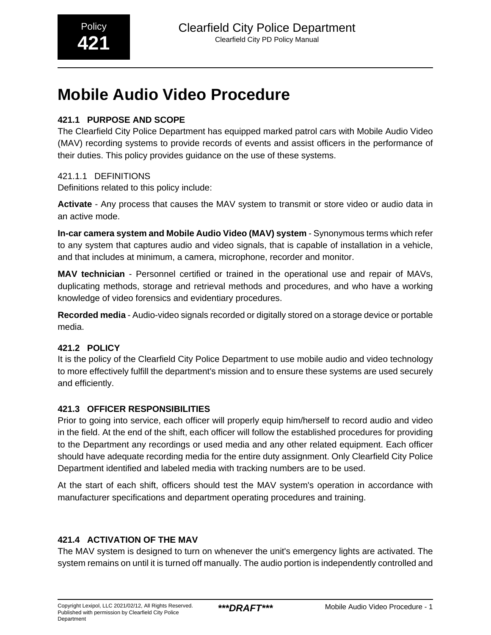# **Mobile Audio Video Procedure**

# **421.1 PURPOSE AND SCOPE**

The Clearfield City Police Department has equipped marked patrol cars with Mobile Audio Video (MAV) recording systems to provide records of events and assist officers in the performance of their duties. This policy provides guidance on the use of these systems.

# 421.1.1 DEFINITIONS

Definitions related to this policy include:

**Activate** - Any process that causes the MAV system to transmit or store video or audio data in an active mode.

**In-car camera system and Mobile Audio Video (MAV) system** - Synonymous terms which refer to any system that captures audio and video signals, that is capable of installation in a vehicle, and that includes at minimum, a camera, microphone, recorder and monitor.

**MAV technician** - Personnel certified or trained in the operational use and repair of MAVs, duplicating methods, storage and retrieval methods and procedures, and who have a working knowledge of video forensics and evidentiary procedures.

**Recorded media** - Audio-video signals recorded or digitally stored on a storage device or portable media.

# **421.2 POLICY**

It is the policy of the Clearfield City Police Department to use mobile audio and video technology to more effectively fulfill the department's mission and to ensure these systems are used securely and efficiently.

# **421.3 OFFICER RESPONSIBILITIES**

Prior to going into service, each officer will properly equip him/herself to record audio and video in the field. At the end of the shift, each officer will follow the established procedures for providing to the Department any recordings or used media and any other related equipment. Each officer should have adequate recording media for the entire duty assignment. Only Clearfield City Police Department identified and labeled media with tracking numbers are to be used.

At the start of each shift, officers should test the MAV system's operation in accordance with manufacturer specifications and department operating procedures and training.

# **421.4 ACTIVATION OF THE MAV**

The MAV system is designed to turn on whenever the unit's emergency lights are activated. The system remains on until it is turned off manually. The audio portion is independently controlled and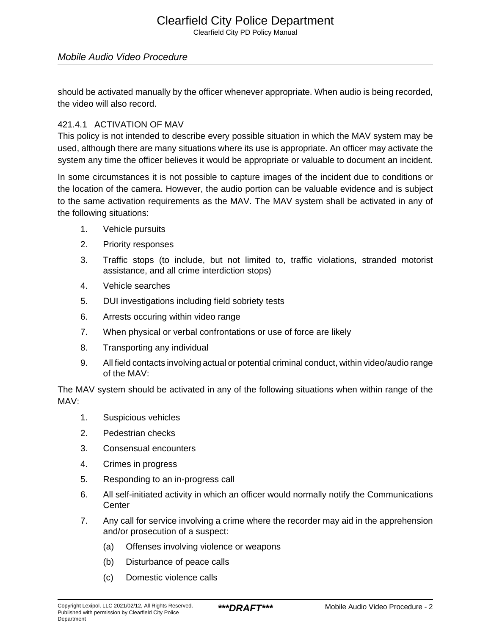# Clearfield City Police Department

Clearfield City PD Policy Manual

#### Mobile Audio Video Procedure

should be activated manually by the officer whenever appropriate. When audio is being recorded, the video will also record.

#### 421.4.1 ACTIVATION OF MAV

This policy is not intended to describe every possible situation in which the MAV system may be used, although there are many situations where its use is appropriate. An officer may activate the system any time the officer believes it would be appropriate or valuable to document an incident.

In some circumstances it is not possible to capture images of the incident due to conditions or the location of the camera. However, the audio portion can be valuable evidence and is subject to the same activation requirements as the MAV. The MAV system shall be activated in any of the following situations:

- 1. Vehicle pursuits
- 2. Priority responses
- 3. Traffic stops (to include, but not limited to, traffic violations, stranded motorist assistance, and all crime interdiction stops)
- 4. Vehicle searches
- 5. DUI investigations including field sobriety tests
- 6. Arrests occuring within video range
- 7. When physical or verbal confrontations or use of force are likely
- 8. Transporting any individual
- 9. All field contacts involving actual or potential criminal conduct, within video/audio range of the MAV:

The MAV system should be activated in any of the following situations when within range of the MAV:

- 1. Suspicious vehicles
- 2. Pedestrian checks
- 3. Consensual encounters
- 4. Crimes in progress
- 5. Responding to an in-progress call
- 6. All self-initiated activity in which an officer would normally notify the Communications **Center**
- 7. Any call for service involving a crime where the recorder may aid in the apprehension and/or prosecution of a suspect:
	- (a) Offenses involving violence or weapons
	- (b) Disturbance of peace calls
	- (c) Domestic violence calls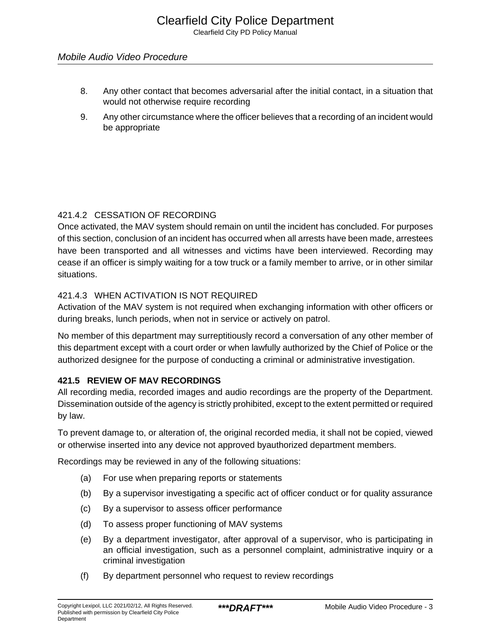# Mobile Audio Video Procedure

- 8. Any other contact that becomes adversarial after the initial contact, in a situation that would not otherwise require recording
- 9. Any other circumstance where the officer believes that a recording of an incident would be appropriate

# 421.4.2 CESSATION OF RECORDING

Once activated, the MAV system should remain on until the incident has concluded. For purposes of this section, conclusion of an incident has occurred when all arrests have been made, arrestees have been transported and all witnesses and victims have been interviewed. Recording may cease if an officer is simply waiting for a tow truck or a family member to arrive, or in other similar situations.

# 421.4.3 WHEN ACTIVATION IS NOT REQUIRED

Activation of the MAV system is not required when exchanging information with other officers or during breaks, lunch periods, when not in service or actively on patrol.

No member of this department may surreptitiously record a conversation of any other member of this department except with a court order or when lawfully authorized by the Chief of Police or the authorized designee for the purpose of conducting a criminal or administrative investigation.

# **421.5 REVIEW OF MAV RECORDINGS**

All recording media, recorded images and audio recordings are the property of the Department. Dissemination outside of the agency is strictly prohibited, except to the extent permitted or required by law.

To prevent damage to, or alteration of, the original recorded media, it shall not be copied, viewed or otherwise inserted into any device not approved byauthorized department members.

Recordings may be reviewed in any of the following situations:

- (a) For use when preparing reports or statements
- (b) By a supervisor investigating a specific act of officer conduct or for quality assurance
- (c) By a supervisor to assess officer performance
- (d) To assess proper functioning of MAV systems
- (e) By a department investigator, after approval of a supervisor, who is participating in an official investigation, such as a personnel complaint, administrative inquiry or a criminal investigation
- (f) By department personnel who request to review recordings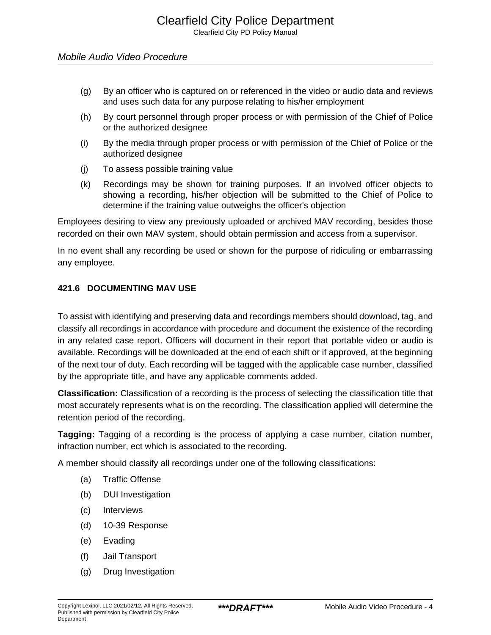- (g) By an officer who is captured on or referenced in the video or audio data and reviews and uses such data for any purpose relating to his/her employment
- (h) By court personnel through proper process or with permission of the Chief of Police or the authorized designee
- (i) By the media through proper process or with permission of the Chief of Police or the authorized designee
- (j) To assess possible training value
- (k) Recordings may be shown for training purposes. If an involved officer objects to showing a recording, his/her objection will be submitted to the Chief of Police to determine if the training value outweighs the officer's objection

Employees desiring to view any previously uploaded or archived MAV recording, besides those recorded on their own MAV system, should obtain permission and access from a supervisor.

In no event shall any recording be used or shown for the purpose of ridiculing or embarrassing any employee.

#### **421.6 DOCUMENTING MAV USE**

To assist with identifying and preserving data and recordings members should download, tag, and classify all recordings in accordance with procedure and document the existence of the recording in any related case report. Officers will document in their report that portable video or audio is available. Recordings will be downloaded at the end of each shift or if approved, at the beginning of the next tour of duty. Each recording will be tagged with the applicable case number, classified by the appropriate title, and have any applicable comments added.

**Classification:** Classification of a recording is the process of selecting the classification title that most accurately represents what is on the recording. The classification applied will determine the retention period of the recording.

**Tagging:** Tagging of a recording is the process of applying a case number, citation number, infraction number, ect which is associated to the recording.

A member should classify all recordings under one of the following classifications:

- (a) Traffic Offense
- (b) DUI Investigation
- (c) Interviews
- (d) 10-39 Response
- (e) Evading
- (f) Jail Transport
- (g) Drug Investigation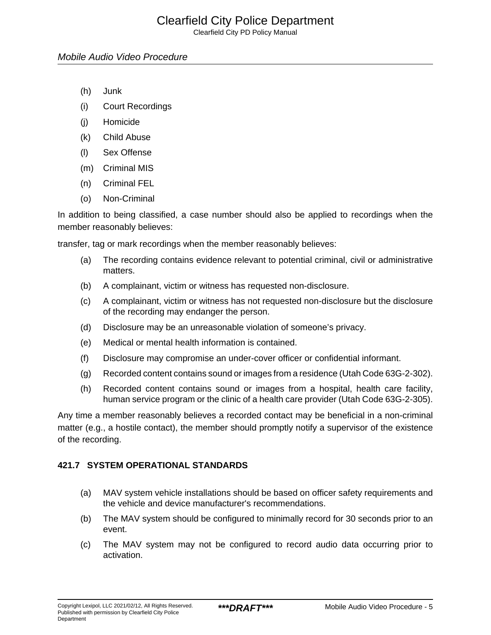# Clearfield City Police Department

Clearfield City PD Policy Manual

#### Mobile Audio Video Procedure

- (h) Junk
- (i) Court Recordings
- (j) Homicide
- (k) Child Abuse
- (l) Sex Offense
- (m) Criminal MIS
- (n) Criminal FEL
- (o) Non-Criminal

In addition to being classified, a case number should also be applied to recordings when the member reasonably believes:

transfer, tag or mark recordings when the member reasonably believes:

- (a) The recording contains evidence relevant to potential criminal, civil or administrative matters.
- (b) A complainant, victim or witness has requested non-disclosure.
- (c) A complainant, victim or witness has not requested non-disclosure but the disclosure of the recording may endanger the person.
- (d) Disclosure may be an unreasonable violation of someone's privacy.
- (e) Medical or mental health information is contained.
- (f) Disclosure may compromise an under-cover officer or confidential informant.
- (g) Recorded content contains sound or images from a residence (Utah Code 63G-2-302).
- (h) Recorded content contains sound or images from a hospital, health care facility, human service program or the clinic of a health care provider (Utah Code 63G-2-305).

Any time a member reasonably believes a recorded contact may be beneficial in a non-criminal matter (e.g., a hostile contact), the member should promptly notify a supervisor of the existence of the recording.

#### **421.7 SYSTEM OPERATIONAL STANDARDS**

- (a) MAV system vehicle installations should be based on officer safety requirements and the vehicle and device manufacturer's recommendations.
- (b) The MAV system should be configured to minimally record for 30 seconds prior to an event.
- (c) The MAV system may not be configured to record audio data occurring prior to activation.